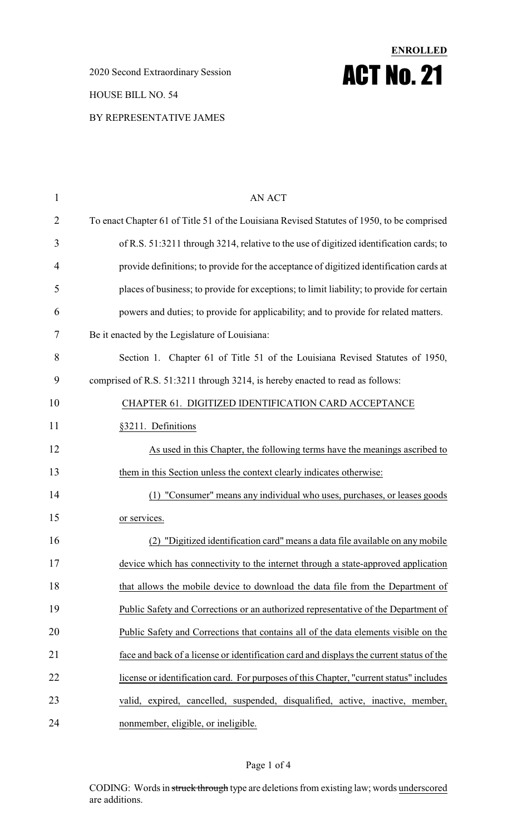2020 Second Extraordinary Session HOUSE BILL NO. 54 BY REPRESENTATIVE JAMES

# **ENROLLED** ACT No. 21

| $\mathbf{1}$   | <b>AN ACT</b>                                                                              |
|----------------|--------------------------------------------------------------------------------------------|
| $\overline{2}$ | To enact Chapter 61 of Title 51 of the Louisiana Revised Statutes of 1950, to be comprised |
| 3              | of R.S. 51:3211 through 3214, relative to the use of digitized identification cards; to    |
| 4              | provide definitions; to provide for the acceptance of digitized identification cards at    |
| 5              | places of business; to provide for exceptions; to limit liability; to provide for certain  |
| 6              | powers and duties; to provide for applicability; and to provide for related matters.       |
| 7              | Be it enacted by the Legislature of Louisiana:                                             |
| 8              | Section 1. Chapter 61 of Title 51 of the Louisiana Revised Statutes of 1950,               |
| 9              | comprised of R.S. 51:3211 through 3214, is hereby enacted to read as follows:              |
| 10             | CHAPTER 61. DIGITIZED IDENTIFICATION CARD ACCEPTANCE                                       |
| 11             | §3211. Definitions                                                                         |
| 12             | As used in this Chapter, the following terms have the meanings ascribed to                 |
| 13             | them in this Section unless the context clearly indicates otherwise:                       |
| 14             | (1) "Consumer" means any individual who uses, purchases, or leases goods                   |
| 15             | or services.                                                                               |
| 16             | "Digitized identification card" means a data file available on any mobile<br>(2)           |
| 17             | device which has connectivity to the internet through a state-approved application         |
| 18             | that allows the mobile device to download the data file from the Department of             |
| 19             | Public Safety and Corrections or an authorized representative of the Department of         |
| 20             | Public Safety and Corrections that contains all of the data elements visible on the        |
| 21             | face and back of a license or identification card and displays the current status of the   |
| 22             | license or identification card. For purposes of this Chapter, "current status" includes    |
| 23             | valid, expired, cancelled, suspended, disqualified, active, inactive, member,              |
| 24             | nonmember, eligible, or ineligible.                                                        |

### Page 1 of 4

CODING: Words in struck through type are deletions from existing law; words underscored are additions.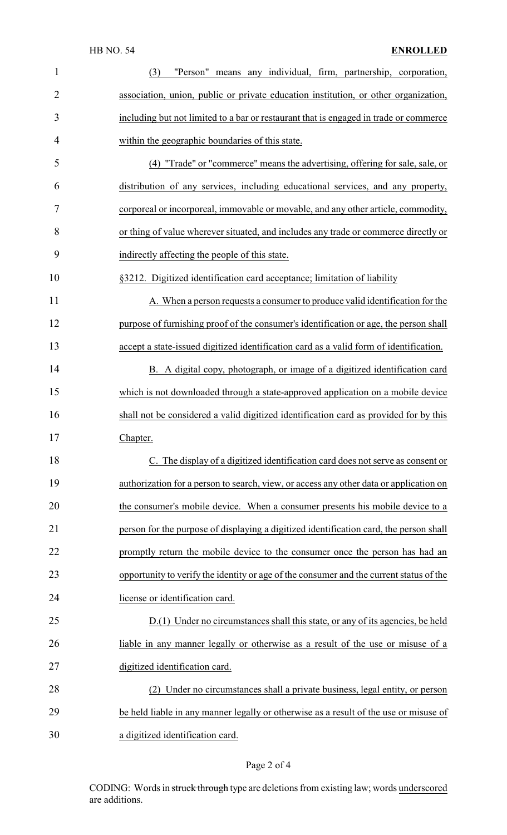### HB NO. 54 **ENROLLED**

| $\mathbf{1}$   | "Person" means any individual, firm, partnership, corporation,<br>(3)                   |
|----------------|-----------------------------------------------------------------------------------------|
| $\overline{2}$ | association, union, public or private education institution, or other organization,     |
| 3              | including but not limited to a bar or restaurant that is engaged in trade or commerce   |
| 4              | within the geographic boundaries of this state.                                         |
| 5              | (4) "Trade" or "commerce" means the advertising, offering for sale, sale, or            |
| 6              | distribution of any services, including educational services, and any property,         |
| 7              | corporeal or incorporeal, immovable or movable, and any other article, commodity,       |
| 8              | or thing of value wherever situated, and includes any trade or commerce directly or     |
| 9              | indirectly affecting the people of this state.                                          |
| 10             | §3212. Digitized identification card acceptance; limitation of liability                |
| 11             | A. When a person requests a consumer to produce valid identification for the            |
| 12             | purpose of furnishing proof of the consumer's identification or age, the person shall   |
| 13             | accept a state-issued digitized identification card as a valid form of identification.  |
| 14             | B. A digital copy, photograph, or image of a digitized identification card              |
| 15             | which is not downloaded through a state-approved application on a mobile device         |
| 16             | shall not be considered a valid digitized identification card as provided for by this   |
| 17             | Chapter.                                                                                |
| 18             | C. The display of a digitized identification card does not serve as consent or          |
| 19             | authorization for a person to search, view, or access any other data or application on  |
| 20             | the consumer's mobile device. When a consumer presents his mobile device to a           |
| 21             | person for the purpose of displaying a digitized identification card, the person shall  |
| 22             | promptly return the mobile device to the consumer once the person has had an            |
| 23             | opportunity to verify the identity or age of the consumer and the current status of the |
| 24             | license or identification card.                                                         |
| 25             | D.(1) Under no circumstances shall this state, or any of its agencies, be held          |
| 26             | liable in any manner legally or otherwise as a result of the use or misuse of a         |
| 27             | digitized identification card.                                                          |
| 28             | (2) Under no circumstances shall a private business, legal entity, or person            |
| 29             | be held liable in any manner legally or otherwise as a result of the use or misuse of   |
| 30             | a digitized identification card.                                                        |

# Page 2 of 4

CODING: Words in struck through type are deletions from existing law; words underscored are additions.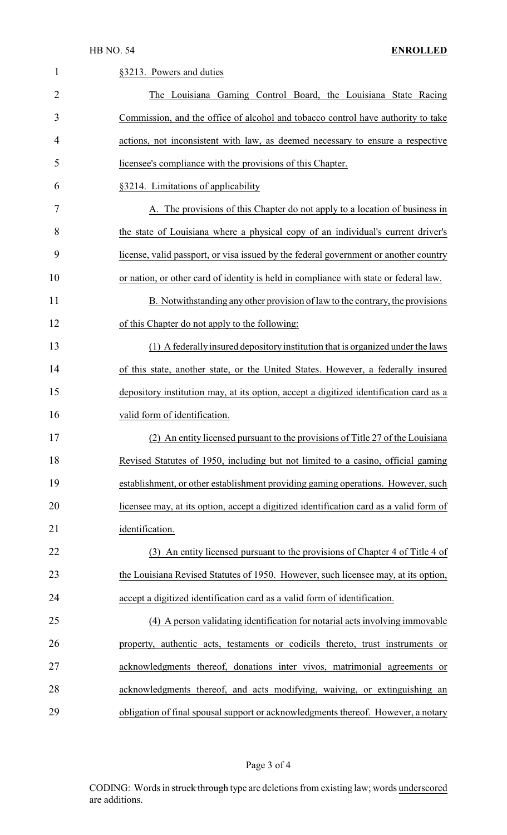| $\mathbf{1}$   | §3213. Powers and duties                                                               |
|----------------|----------------------------------------------------------------------------------------|
| $\overline{2}$ | The Louisiana Gaming Control Board, the Louisiana State Racing                         |
| 3              | Commission, and the office of alcohol and tobacco control have authority to take       |
| 4              | actions, not inconsistent with law, as deemed necessary to ensure a respective         |
| 5              | licensee's compliance with the provisions of this Chapter.                             |
| 6              | §3214. Limitations of applicability                                                    |
| 7              | A. The provisions of this Chapter do not apply to a location of business in            |
| 8              | the state of Louisiana where a physical copy of an individual's current driver's       |
| 9              | license, valid passport, or visa issued by the federal government or another country   |
| 10             | or nation, or other card of identity is held in compliance with state or federal law.  |
| 11             | B. Notwithstanding any other provision of law to the contrary, the provisions          |
| 12             | of this Chapter do not apply to the following:                                         |
| 13             | (1) A federally insured depository institution that is organized under the laws        |
| 14             | of this state, another state, or the United States. However, a federally insured       |
| 15             | depository institution may, at its option, accept a digitized identification card as a |
| 16             | valid form of identification.                                                          |
| 17             | (2) An entity licensed pursuant to the provisions of Title 27 of the Louisiana         |
| 18             | Revised Statutes of 1950, including but not limited to a casino, official gaming       |
| 19             | establishment, or other establishment providing gaming operations. However, such       |
| 20             | licensee may, at its option, accept a digitized identification card as a valid form of |
| 21             | identification.                                                                        |
| 22             | (3) An entity licensed pursuant to the provisions of Chapter 4 of Title 4 of           |
| 23             | the Louisiana Revised Statutes of 1950. However, such licensee may, at its option,     |
| 24             | accept a digitized identification card as a valid form of identification.              |
| 25             | (4) A person validating identification for notarial acts involving immovable           |
| 26             | property, authentic acts, testaments or codicils thereto, trust instruments or         |
| 27             | acknowledgments thereof, donations inter vivos, matrimonial agreements or              |
| 28             | acknowledgments thereof, and acts modifying, waiving, or extinguishing an              |
| 29             | obligation of final spousal support or acknowledgments thereof. However, a notary      |

# Page 3 of 4

CODING: Words in struck through type are deletions from existing law; words underscored are additions.